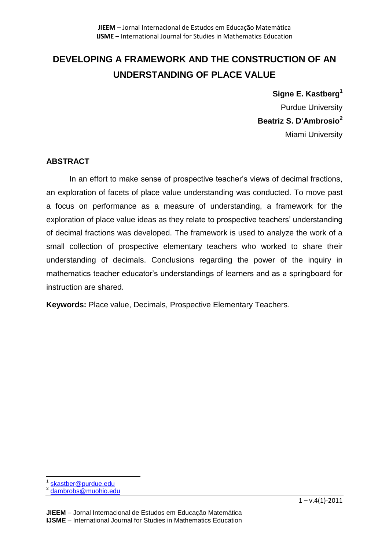# **DEVELOPING A FRAMEWORK AND THE CONSTRUCTION OF AN UNDERSTANDING OF PLACE VALUE**

**Signe E. Kastberg<sup>1</sup>** Purdue University **Beatriz S. D'Ambrosio<sup>2</sup>** Miami University

## **ABSTRACT**

In an effort to make sense of prospective teacher's views of decimal fractions, an exploration of facets of place value understanding was conducted. To move past a focus on performance as a measure of understanding, a framework for the exploration of place value ideas as they relate to prospective teachers' understanding of decimal fractions was developed. The framework is used to analyze the work of a small collection of prospective elementary teachers who worked to share their understanding of decimals. Conclusions regarding the power of the inquiry in mathematics teacher educator's understandings of learners and as a springboard for instruction are shared.

**Keywords:** Place value, Decimals, Prospective Elementary Teachers.

 $\overline{\phantom{a}}$ 1 [skastber@purdue.edu](mailto:skastber@purdue.edu)

<sup>2</sup> [dambrobs@muohio.edu](mailto:dambrobs@muohio.edu)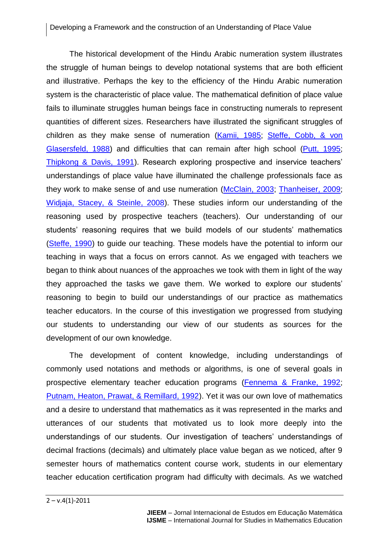The historical development of the Hindu Arabic numeration system illustrates the struggle of human beings to develop notational systems that are both efficient and illustrative. Perhaps the key to the efficiency of the Hindu Arabic numeration system is the characteristic of place value. The mathematical definition of place value fails to illuminate struggles human beings face in constructing numerals to represent quantities of different sizes. Researchers have illustrated the significant struggles of children as they make sense of numeration [\(Kamii, 1985;](#page-28-0) [Steffe, Cobb, & von](#page-28-1)  [Glasersfeld, 1988\)](#page-28-1) and difficulties that can remain after high school [\(Putt, 1995;](#page-28-2) [Thipkong & Davis, 1991\)](#page-28-3). Research exploring prospective and inservice teachers' understandings of place value have illuminated the challenge professionals face as they work to make sense of and use numeration [\(McClain, 2003;](#page-28-4) [Thanheiser, 2009;](#page-28-5) [Widjaja, Stacey, & Steinle, 2008\)](#page-29-0). These studies inform our understanding of the reasoning used by prospective teachers (teachers). Our understanding of our students' reasoning requires that we build models of our students' mathematics [\(Steffe, 1990\)](#page-28-6) to guide our teaching. These models have the potential to inform our teaching in ways that a focus on errors cannot. As we engaged with teachers we began to think about nuances of the approaches we took with them in light of the way they approached the tasks we gave them. We worked to explore our students' reasoning to begin to build our understandings of our practice as mathematics teacher educators. In the course of this investigation we progressed from studying our students to understanding our view of our students as sources for the development of our own knowledge.

The development of content knowledge, including understandings of commonly used notations and methods or algorithms, is one of several goals in prospective elementary teacher education programs [\(Fennema & Franke, 1992;](#page-27-0) [Putnam, Heaton, Prawat, & Remillard, 1992\)](#page-28-7). Yet it was our own love of mathematics and a desire to understand that mathematics as it was represented in the marks and utterances of our students that motivated us to look more deeply into the understandings of our students. Our investigation of teachers' understandings of decimal fractions (decimals) and ultimately place value began as we noticed, after 9 semester hours of mathematics content course work, students in our elementary teacher education certification program had difficulty with decimals. As we watched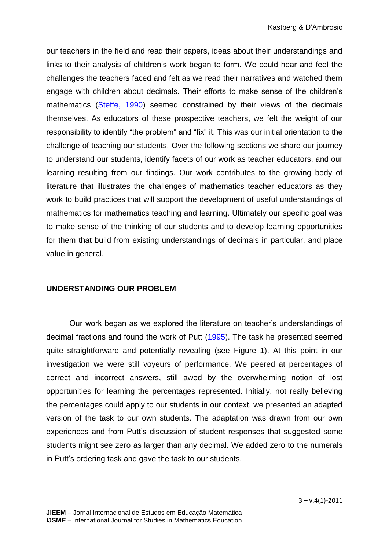our teachers in the field and read their papers, ideas about their understandings and links to their analysis of children's work began to form. We could hear and feel the challenges the teachers faced and felt as we read their narratives and watched them engage with children about decimals. Their efforts to make sense of the children's mathematics [\(Steffe, 1990\)](#page-28-6) seemed constrained by their views of the decimals themselves. As educators of these prospective teachers, we felt the weight of our responsibility to identify "the problem" and "fix" it. This was our initial orientation to the challenge of teaching our students. Over the following sections we share our journey to understand our students, identify facets of our work as teacher educators, and our learning resulting from our findings. Our work contributes to the growing body of literature that illustrates the challenges of mathematics teacher educators as they work to build practices that will support the development of useful understandings of mathematics for mathematics teaching and learning. Ultimately our specific goal was to make sense of the thinking of our students and to develop learning opportunities for them that build from existing understandings of decimals in particular, and place value in general.

#### **UNDERSTANDING OUR PROBLEM**

Our work began as we explored the literature on teacher's understandings of decimal fractions and found the work of Putt [\(1995\)](#page-28-2). The task he presented seemed quite straightforward and potentially revealing (see Figure 1). At this point in our investigation we were still voyeurs of performance. We peered at percentages of correct and incorrect answers, still awed by the overwhelming notion of lost opportunities for learning the percentages represented. Initially, not really believing the percentages could apply to our students in our context, we presented an adapted version of the task to our own students. The adaptation was drawn from our own experiences and from Putt's discussion of student responses that suggested some students might see zero as larger than any decimal. We added zero to the numerals in Putt's ordering task and gave the task to our students.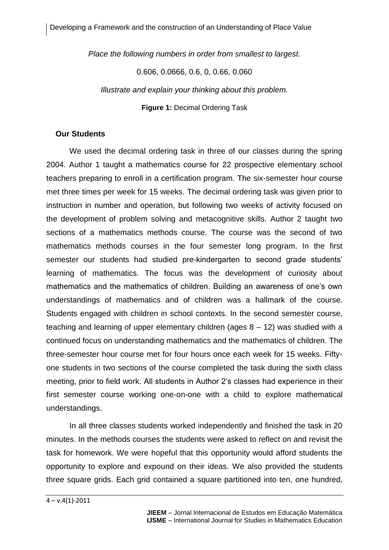*Place the following numbers in order from smallest to largest.*

0.606, 0.0666, 0.6, 0, 0.66, 0.060

*Illustrate and explain your thinking about this problem.*

**Figure 1:** Decimal Ordering Task

#### **Our Students**

We used the decimal ordering task in three of our classes during the spring 2004. Author 1 taught a mathematics course for 22 prospective elementary school teachers preparing to enroll in a certification program. The six-semester hour course met three times per week for 15 weeks. The decimal ordering task was given prior to instruction in number and operation, but following two weeks of activity focused on the development of problem solving and metacognitive skills. Author 2 taught two sections of a mathematics methods course. The course was the second of two mathematics methods courses in the four semester long program. In the first semester our students had studied pre-kindergarten to second grade students' learning of mathematics. The focus was the development of curiosity about mathematics and the mathematics of children. Building an awareness of one's own understandings of mathematics and of children was a hallmark of the course. Students engaged with children in school contexts. In the second semester course, teaching and learning of upper elementary children (ages  $8 - 12$ ) was studied with a continued focus on understanding mathematics and the mathematics of children. The three-semester hour course met for four hours once each week for 15 weeks. Fiftyone students in two sections of the course completed the task during the sixth class meeting, prior to field work. All students in Author 2's classes had experience in their first semester course working one-on-one with a child to explore mathematical understandings.

In all three classes students worked independently and finished the task in 20 minutes. In the methods courses the students were asked to reflect on and revisit the task for homework. We were hopeful that this opportunity would afford students the opportunity to explore and expound on their ideas. We also provided the students three square grids. Each grid contained a square partitioned into ten, one hundred,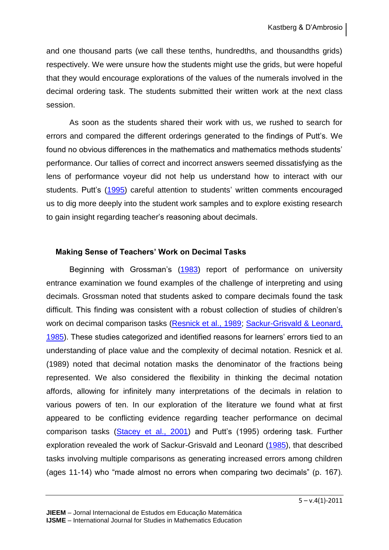and one thousand parts (we call these tenths, hundredths, and thousandths grids) respectively. We were unsure how the students might use the grids, but were hopeful that they would encourage explorations of the values of the numerals involved in the decimal ordering task. The students submitted their written work at the next class session.

As soon as the students shared their work with us, we rushed to search for errors and compared the different orderings generated to the findings of Putt's. We found no obvious differences in the mathematics and mathematics methods students' performance. Our tallies of correct and incorrect answers seemed dissatisfying as the lens of performance voyeur did not help us understand how to interact with our students. Putt's [\(1995\)](#page-28-2) careful attention to students' written comments encouraged us to dig more deeply into the student work samples and to explore existing research to gain insight regarding teacher's reasoning about decimals.

## **Making Sense of Teachers' Work on Decimal Tasks**

Beginning with Grossman's [\(1983\)](#page-27-1) report of performance on university entrance examination we found examples of the challenge of interpreting and using decimals. Grossman noted that students asked to compare decimals found the task difficult. This finding was consistent with a robust collection of studies of children's work on decimal comparison tasks [\(Resnick et al., 1989;](#page-28-8) Sackur-Grisvald & Leonard, [1985\)](#page-28-9). These studies categorized and identified reasons for learners' errors tied to an understanding of place value and the complexity of decimal notation. Resnick et al. (1989) noted that decimal notation masks the denominator of the fractions being represented. We also considered the flexibility in thinking the decimal notation affords, allowing for infinitely many interpretations of the decimals in relation to various powers of ten. In our exploration of the literature we found what at first appeared to be conflicting evidence regarding teacher performance on decimal comparison tasks [\(Stacey et al., 2001\)](#page-28-10) and Putt's (1995) ordering task. Further exploration revealed the work of Sackur-Grisvald and Leonard [\(1985\)](#page-28-9), that described tasks involving multiple comparisons as generating increased errors among children (ages 11-14) who "made almost no errors when comparing two decimals" (p. 167).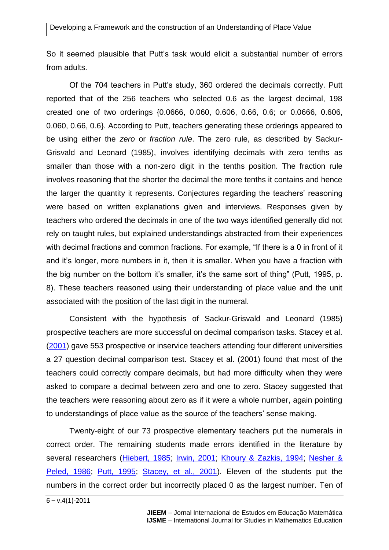So it seemed plausible that Putt's task would elicit a substantial number of errors from adults.

Of the 704 teachers in Putt's study, 360 ordered the decimals correctly. Putt reported that of the 256 teachers who selected 0.6 as the largest decimal, 198 created one of two orderings {0.0666, 0.060, 0.606, 0.66, 0.6; or 0.0666, 0.606, 0.060, 0.66, 0.6}. According to Putt, teachers generating these orderings appeared to be using either the *zero* or *fraction rule*. The zero rule, as described by Sackur-Grisvald and Leonard (1985), involves identifying decimals with zero tenths as smaller than those with a non-zero digit in the tenths position. The fraction rule involves reasoning that the shorter the decimal the more tenths it contains and hence the larger the quantity it represents. Conjectures regarding the teachers' reasoning were based on written explanations given and interviews. Responses given by teachers who ordered the decimals in one of the two ways identified generally did not rely on taught rules, but explained understandings abstracted from their experiences with decimal fractions and common fractions. For example, "If there is a 0 in front of it and it's longer, more numbers in it, then it is smaller. When you have a fraction with the big number on the bottom it's smaller, it's the same sort of thing" (Putt, 1995, p. 8). These teachers reasoned using their understanding of place value and the unit associated with the position of the last digit in the numeral.

Consistent with the hypothesis of Sackur-Grisvald and Leonard (1985) prospective teachers are more successful on decimal comparison tasks. Stacey et al. [\(2001\)](#page-28-10) gave 553 prospective or inservice teachers attending four different universities a 27 question decimal comparison test. Stacey et al. (2001) found that most of the teachers could correctly compare decimals, but had more difficulty when they were asked to compare a decimal between zero and one to zero. Stacey suggested that the teachers were reasoning about zero as if it were a whole number, again pointing to understandings of place value as the source of the teachers' sense making.

Twenty-eight of our 73 prospective elementary teachers put the numerals in correct order. The remaining students made errors identified in the literature by several researchers [\(Hiebert, 1985;](#page-27-2) [Irwin, 2001;](#page-27-3) [Khoury & Zazkis, 1994;](#page-28-11) [Nesher &](#page-28-12)  [Peled, 1986;](#page-28-12) [Putt, 1995;](#page-28-2) [Stacey, et al., 2001\)](#page-28-10). Eleven of the students put the numbers in the correct order but incorrectly placed 0 as the largest number. Ten of

 $6 - v.4(1) - 2011$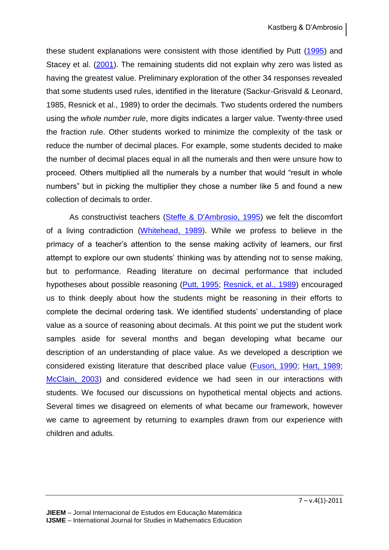these student explanations were consistent with those identified by Putt [\(1995\)](#page-28-2) and Stacey et al. [\(2001\)](#page-28-10). The remaining students did not explain why zero was listed as having the greatest value. Preliminary exploration of the other 34 responses revealed that some students used rules, identified in the literature (Sackur-Grisvald & Leonard, 1985, Resnick et al., 1989) to order the decimals. Two students ordered the numbers using the *whole number rule*, more digits indicates a larger value. Twenty-three used the fraction rule. Other students worked to minimize the complexity of the task or reduce the number of decimal places. For example, some students decided to make the number of decimal places equal in all the numerals and then were unsure how to proceed. Others multiplied all the numerals by a number that would "result in whole numbers" but in picking the multiplier they chose a number like 5 and found a new collection of decimals to order.

As constructivist teachers [\(Steffe & D'Ambrosio, 1995\)](#page-28-13) we felt the discomfort of a living contradiction [\(Whitehead, 1989\)](#page-29-1). While we profess to believe in the primacy of a teacher's attention to the sense making activity of learners, our first attempt to explore our own students' thinking was by attending not to sense making, but to performance. Reading literature on decimal performance that included hypotheses about possible reasoning [\(Putt, 1995;](#page-28-2) [Resnick, et al., 1989\)](#page-28-8) encouraged us to think deeply about how the students might be reasoning in their efforts to complete the decimal ordering task. We identified students' understanding of place value as a source of reasoning about decimals. At this point we put the student work samples aside for several months and began developing what became our description of an understanding of place value. As we developed a description we considered existing literature that described place value [\(Fuson, 1990;](#page-27-4) [Hart, 1989;](#page-27-5) [McClain, 2003\)](#page-28-4) and considered evidence we had seen in our interactions with students. We focused our discussions on hypothetical mental objects and actions. Several times we disagreed on elements of what became our framework, however we came to agreement by returning to examples drawn from our experience with children and adults.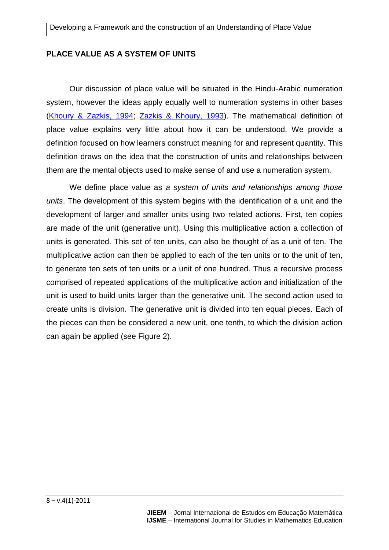### **PLACE VALUE AS A SYSTEM OF UNITS**

Our discussion of place value will be situated in the Hindu-Arabic numeration system, however the ideas apply equally well to numeration systems in other bases [\(Khoury & Zazkis, 1994;](#page-28-11) [Zazkis & Khoury, 1993\)](#page-29-2). The mathematical definition of place value explains very little about how it can be understood. We provide a definition focused on how learners construct meaning for and represent quantity. This definition draws on the idea that the construction of units and relationships between them are the mental objects used to make sense of and use a numeration system.

We define place value as *a system of units and relationships among those units*. The development of this system begins with the identification of a unit and the development of larger and smaller units using two related actions. First, ten copies are made of the unit (generative unit). Using this multiplicative action a collection of units is generated. This set of ten units, can also be thought of as a unit of ten. The multiplicative action can then be applied to each of the ten units or to the unit of ten, to generate ten sets of ten units or a unit of one hundred. Thus a recursive process comprised of repeated applications of the multiplicative action and initialization of the unit is used to build units larger than the generative unit. The second action used to create units is division. The generative unit is divided into ten equal pieces. Each of the pieces can then be considered a new unit, one tenth, to which the division action can again be applied (see Figure 2).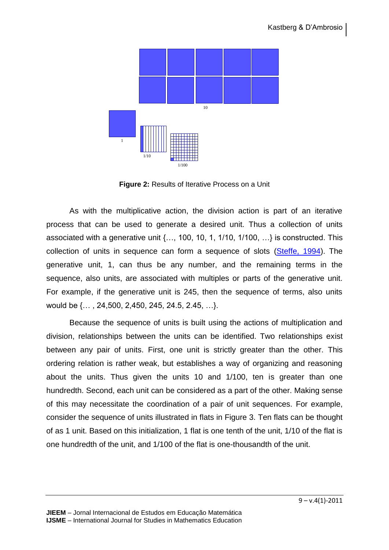

**Figure 2:** Results of Iterative Process on a Unit

As with the multiplicative action, the division action is part of an iterative process that can be used to generate a desired unit. Thus a collection of units associated with a generative unit {…, 100, 10, 1, 1/10, 1/100, …} is constructed. This collection of units in sequence can form a sequence of slots [\(Steffe, 1994\)](#page-28-14). The generative unit, 1, can thus be any number, and the remaining terms in the sequence, also units, are associated with multiples or parts of the generative unit. For example, if the generative unit is 245, then the sequence of terms, also units would be {… , 24,500, 2,450, 245, 24.5, 2.45, …}.

Because the sequence of units is built using the actions of multiplication and division, relationships between the units can be identified. Two relationships exist between any pair of units. First, one unit is strictly greater than the other. This ordering relation is rather weak, but establishes a way of organizing and reasoning about the units. Thus given the units 10 and 1/100, ten is greater than one hundredth. Second, each unit can be considered as a part of the other. Making sense of this may necessitate the coordination of a pair of unit sequences. For example, consider the sequence of units illustrated in flats in Figure 3. Ten flats can be thought of as 1 unit. Based on this initialization, 1 flat is one tenth of the unit, 1/10 of the flat is one hundredth of the unit, and 1/100 of the flat is one-thousandth of the unit.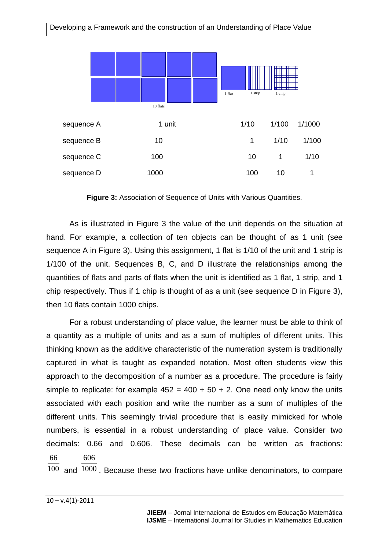

**Figure 3:** Association of Sequence of Units with Various Quantities.

As is illustrated in Figure 3 the value of the unit depends on the situation at hand. For example, a collection of ten objects can be thought of as 1 unit (see sequence A in Figure 3). Using this assignment, 1 flat is 1/10 of the unit and 1 strip is 1/100 of the unit. Sequences B, C, and D illustrate the relationships among the quantities of flats and parts of flats when the unit is identified as 1 flat, 1 strip, and 1 chip respectively. Thus if 1 chip is thought of as a unit (see sequence D in Figure 3), then 10 flats contain 1000 chips.

For a robust understanding of place value, the learner must be able to think of a quantity as a multiple of units and as a sum of multiples of different units. This thinking known as the additive characteristic of the numeration system is traditionally captured in what is taught as expanded notation. Most often students view this approach to the decomposition of a number as a procedure. The procedure is fairly simple to replicate: for example  $452 = 400 + 50 + 2$ . One need only know the units associated with each position and write the number as a sum of multiples of the different units. This seemingly trivial procedure that is easily mimicked for whole numbers, is essential in a robust understanding of place value. Consider two decimals: 0.66 and 0.606. These decimals can be written as fractions: 66 606

 $100$  and  $1000$ . Because these two fractions have unlike denominators, to compare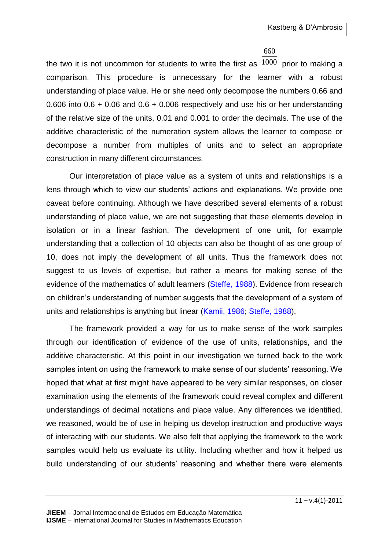#### 660

the two it is not uncommon for students to write the first as  $1000$  prior to making a comparison. This procedure is unnecessary for the learner with a robust understanding of place value. He or she need only decompose the numbers 0.66 and 0.606 into 0.6 + 0.06 and 0.6 + 0.006 respectively and use his or her understanding of the relative size of the units, 0.01 and 0.001 to order the decimals. The use of the additive characteristic of the numeration system allows the learner to compose or decompose a number from multiples of units and to select an appropriate construction in many different circumstances.

Our interpretation of place value as a system of units and relationships is a lens through which to view our students' actions and explanations. We provide one caveat before continuing. Although we have described several elements of a robust understanding of place value, we are not suggesting that these elements develop in isolation or in a linear fashion. The development of one unit, for example understanding that a collection of 10 objects can also be thought of as one group of 10, does not imply the development of all units. Thus the framework does not suggest to us levels of expertise, but rather a means for making sense of the evidence of the mathematics of adult learners [\(Steffe, 1988\)](#page-28-15). Evidence from research on children's understanding of number suggests that the development of a system of units and relationships is anything but linear [\(Kamii, 1986;](#page-28-16) [Steffe, 1988\)](#page-28-15).

The framework provided a way for us to make sense of the work samples through our identification of evidence of the use of units, relationships, and the additive characteristic. At this point in our investigation we turned back to the work samples intent on using the framework to make sense of our students' reasoning. We hoped that what at first might have appeared to be very similar responses, on closer examination using the elements of the framework could reveal complex and different understandings of decimal notations and place value. Any differences we identified, we reasoned, would be of use in helping us develop instruction and productive ways of interacting with our students. We also felt that applying the framework to the work samples would help us evaluate its utility. Including whether and how it helped us build understanding of our students' reasoning and whether there were elements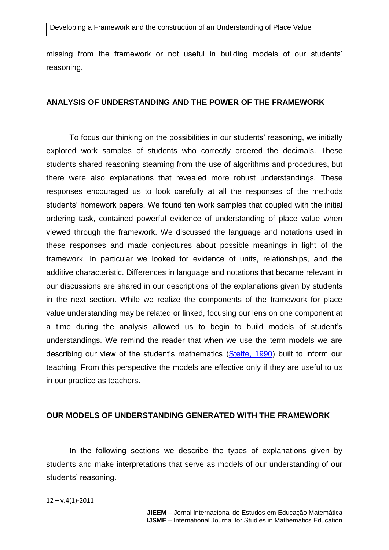Developing a Framework and the construction of an Understanding of Place Value

missing from the framework or not useful in building models of our students' reasoning.

### **ANALYSIS OF UNDERSTANDING AND THE POWER OF THE FRAMEWORK**

To focus our thinking on the possibilities in our students' reasoning, we initially explored work samples of students who correctly ordered the decimals. These students shared reasoning steaming from the use of algorithms and procedures, but there were also explanations that revealed more robust understandings. These responses encouraged us to look carefully at all the responses of the methods students' homework papers. We found ten work samples that coupled with the initial ordering task, contained powerful evidence of understanding of place value when viewed through the framework. We discussed the language and notations used in these responses and made conjectures about possible meanings in light of the framework. In particular we looked for evidence of units, relationships, and the additive characteristic. Differences in language and notations that became relevant in our discussions are shared in our descriptions of the explanations given by students in the next section. While we realize the components of the framework for place value understanding may be related or linked, focusing our lens on one component at a time during the analysis allowed us to begin to build models of student's understandings. We remind the reader that when we use the term models we are describing our view of the student's mathematics [\(Steffe, 1990\)](#page-28-6) built to inform our teaching. From this perspective the models are effective only if they are useful to us in our practice as teachers.

#### **OUR MODELS OF UNDERSTANDING GENERATED WITH THE FRAMEWORK**

In the following sections we describe the types of explanations given by students and make interpretations that serve as models of our understanding of our students' reasoning.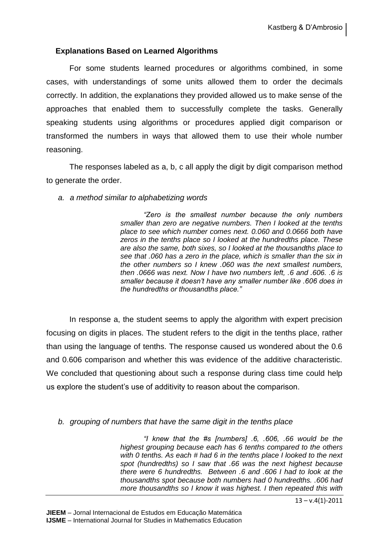## **Explanations Based on Learned Algorithms**

For some students learned procedures or algorithms combined, in some cases, with understandings of some units allowed them to order the decimals correctly. In addition, the explanations they provided allowed us to make sense of the approaches that enabled them to successfully complete the tasks. Generally speaking students using algorithms or procedures applied digit comparison or transformed the numbers in ways that allowed them to use their whole number reasoning.

The responses labeled as a, b, c all apply the digit by digit comparison method to generate the order.

*a. a method similar to alphabetizing words*

*"Zero is the smallest number because the only numbers smaller than zero are negative numbers. Then I looked at the tenths place to see which number comes next. 0.060 and 0.0666 both have zeros in the tenths place so I looked at the hundredths place. These are also the same, both sixes, so I looked at the thousandths place to see that .060 has a zero in the place, which is smaller than the six in the other numbers so I knew .060 was the next smallest numbers, then .0666 was next. Now I have two numbers left, .6 and .606. .6 is smaller because it doesn't have any smaller number like .606 does in the hundredths or thousandths place."*

In response a, the student seems to apply the algorithm with expert precision focusing on digits in places. The student refers to the digit in the tenths place, rather than using the language of tenths. The response caused us wondered about the 0.6 and 0.606 comparison and whether this was evidence of the additive characteristic. We concluded that questioning about such a response during class time could help us explore the student's use of additivity to reason about the comparison.

### *b. grouping of numbers that have the same digit in the tenths place*

*"I knew that the #s [numbers] .6, .606, .66 would be the highest grouping because each has 6 tenths compared to the others with 0 tenths. As each # had 6 in the tenths place I looked to the next spot (hundredths) so I saw that .66 was the next highest because there were 6 hundredths. Between .6 and .606 I had to look at the thousandths spot because both numbers had 0 hundredths. .606 had more thousandths so I know it was highest. I then repeated this with*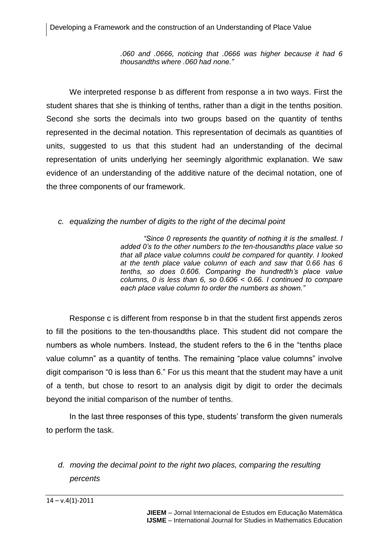*.060 and .0666, noticing that .0666 was higher because it had 6 thousandths where .060 had none."*

We interpreted response b as different from response a in two ways. First the student shares that she is thinking of tenths, rather than a digit in the tenths position. Second she sorts the decimals into two groups based on the quantity of tenths represented in the decimal notation. This representation of decimals as quantities of units, suggested to us that this student had an understanding of the decimal representation of units underlying her seemingly algorithmic explanation. We saw evidence of an understanding of the additive nature of the decimal notation, one of the three components of our framework.

## *c. equalizing the number of digits to the right of the decimal point*

*"Since 0 represents the quantity of nothing it is the smallest. I added 0's to the other numbers to the ten-thousandths place value so that all place value columns could be compared for quantity. I looked at the tenth place value column of each and saw that 0.66 has 6 tenths, so does 0.606. Comparing the hundredth's place value columns, 0 is less than 6, so 0.606 < 0.66. I continued to compare each place value column to order the numbers as shown."* 

Response c is different from response b in that the student first appends zeros to fill the positions to the ten-thousandths place. This student did not compare the numbers as whole numbers. Instead, the student refers to the 6 in the "tenths place value column" as a quantity of tenths. The remaining "place value columns" involve digit comparison "0 is less than 6." For us this meant that the student may have a unit of a tenth, but chose to resort to an analysis digit by digit to order the decimals beyond the initial comparison of the number of tenths.

In the last three responses of this type, students' transform the given numerals to perform the task.

*d. moving the decimal point to the right two places, comparing the resulting percents*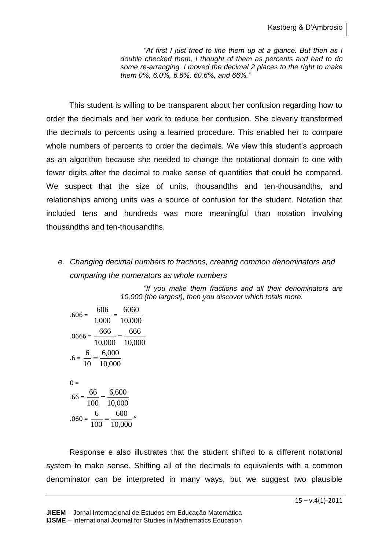*"At first I just tried to line them up at a glance. But then as I double checked them, I thought of them as percents and had to do some re-arranging. I moved the decimal 2 places to the right to make them 0%, 6.0%, 6.6%, 60.6%, and 66%."*

This student is willing to be transparent about her confusion regarding how to order the decimals and her work to reduce her confusion. She cleverly transformed the decimals to percents using a learned procedure. This enabled her to compare whole numbers of percents to order the decimals. We view this student's approach as an algorithm because she needed to change the notational domain to one with fewer digits after the decimal to make sense of quantities that could be compared. We suspect that the size of units, thousandths and ten-thousandths, and relationships among units was a source of confusion for the student. Notation that included tens and hundreds was more meaningful than notation involving thousandths and ten-thousandths.

## *e. Changing decimal numbers to fractions, creating common denominators and comparing the numerators as whole numbers*

*"If you make them fractions and all their denominators are 10,000 (the largest), then you discover which totals more.*

$$
.606 = \frac{606}{1,000} = \frac{6060}{10,000}
$$
  

$$
.0666 = \frac{666}{10,000} = \frac{666}{10,000}
$$
  

$$
.6 = \frac{6}{10} = \frac{6,000}{10,000}
$$
  

$$
0 =
$$
  

$$
.66 = \frac{66}{100} = \frac{6,600}{10,000}
$$
  

$$
.060 = \frac{6}{100} = \frac{600}{10,000}
$$

Response e also illustrates that the student shifted to a different notational system to make sense. Shifting all of the decimals to equivalents with a common denominator can be interpreted in many ways, but we suggest two plausible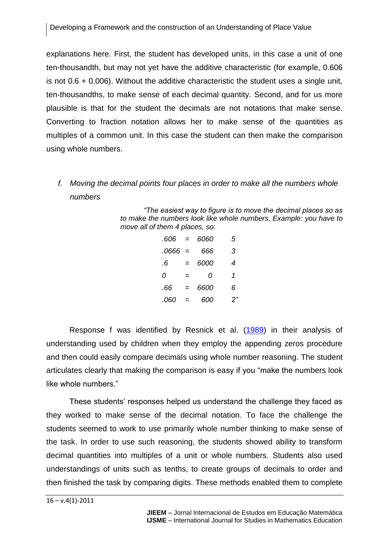explanations here. First, the student has developed units, in this case a unit of one ten-thousandth, but may not yet have the additive characteristic (for example, 0.606 is not 0.6 + 0.006). Without the additive characteristic the student uses a single unit, ten-thousandths, to make sense of each decimal quantity. Second, and for us more plausible is that for the student the decimals are not notations that make sense. Converting to fraction notation allows her to make sense of the quantities as multiples of a common unit. In this case the student can then make the comparison using whole numbers.

*f. Moving the decimal points four places in order to make all the numbers whole numbers* 

> *"The easiest way to figure is to move the decimal places so as to make the numbers look like whole numbers. Example: you have to move all of them 4 places, so:*

| $.606 =$  |     | 6060 | 5  |
|-----------|-----|------|----|
| $.0666 =$ |     | 666  | 3  |
| .6        | $=$ | 6000 | 4  |
| Ω         | $=$ | Ω    | 1  |
| .66       | $=$ | 6600 | 6  |
| .060      | $=$ | റെറ  | 2" |

Response f was identified by Resnick et al. [\(1989\)](#page-28-8) in their analysis of understanding used by children when they employ the appending zeros procedure and then could easily compare decimals using whole number reasoning. The student articulates clearly that making the comparison is easy if you "make the numbers look like whole numbers."

These students' responses helped us understand the challenge they faced as they worked to make sense of the decimal notation. To face the challenge the students seemed to work to use primarily whole number thinking to make sense of the task. In order to use such reasoning, the students showed ability to transform decimal quantities into multiples of a unit or whole numbers. Students also used understandings of units such as tenths, to create groups of decimals to order and then finished the task by comparing digits. These methods enabled them to complete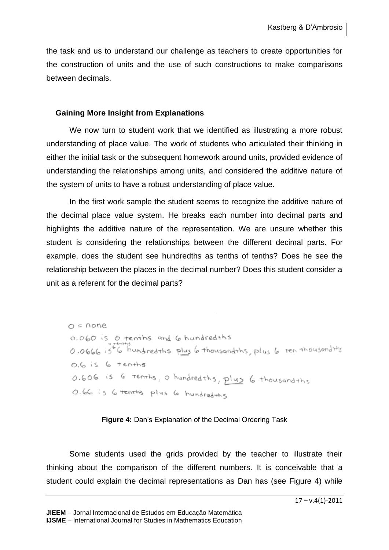the task and us to understand our challenge as teachers to create opportunities for the construction of units and the use of such constructions to make comparisons between decimals.

### **Gaining More Insight from Explanations**

We now turn to student work that we identified as illustrating a more robust understanding of place value. The work of students who articulated their thinking in either the initial task or the subsequent homework around units, provided evidence of understanding the relationships among units, and considered the additive nature of the system of units to have a robust understanding of place value.

In the first work sample the student seems to recognize the additive nature of the decimal place value system. He breaks each number into decimal parts and highlights the additive nature of the representation. We are unsure whether this student is considering the relationships between the different decimal parts. For example, does the student see hundredths as tenths of tenths? Does he see the relationship between the places in the decimal number? Does this student consider a unit as a referent for the decimal parts?

 $O = None$ 0.060 is 0 tenths and 6 hundredths 0.0666 is 6 hundred this plus 6 thousand this, plus 6 ren thousand this  $0.6$  is  $6$  tenths 0.606 is 6 tenths, o hundred this, plus 6 thousand this O.66 is 6 tenthis plus 6 hundred the

**Figure 4:** Dan's Explanation of the Decimal Ordering Task

Some students used the grids provided by the teacher to illustrate their thinking about the comparison of the different numbers. It is conceivable that a student could explain the decimal representations as Dan has (see Figure 4) while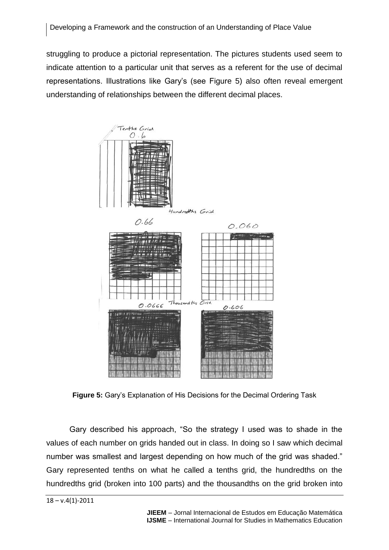struggling to produce a pictorial representation. The pictures students used seem to indicate attention to a particular unit that serves as a referent for the use of decimal representations. Illustrations like Gary's (see Figure 5) also often reveal emergent understanding of relationships between the different decimal places.



**Figure 5:** Gary's Explanation of His Decisions for the Decimal Ordering Task

Gary described his approach, "So the strategy I used was to shade in the values of each number on grids handed out in class. In doing so I saw which decimal number was smallest and largest depending on how much of the grid was shaded." Gary represented tenths on what he called a tenths grid, the hundredths on the hundredths grid (broken into 100 parts) and the thousandths on the grid broken into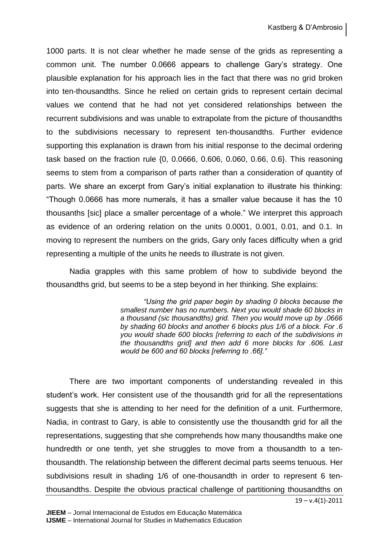1000 parts. It is not clear whether he made sense of the grids as representing a common unit. The number 0.0666 appears to challenge Gary's strategy. One plausible explanation for his approach lies in the fact that there was no grid broken into ten-thousandths. Since he relied on certain grids to represent certain decimal values we contend that he had not yet considered relationships between the recurrent subdivisions and was unable to extrapolate from the picture of thousandths to the subdivisions necessary to represent ten-thousandths. Further evidence supporting this explanation is drawn from his initial response to the decimal ordering task based on the fraction rule {0, 0.0666, 0.606, 0.060, 0.66, 0.6}. This reasoning seems to stem from a comparison of parts rather than a consideration of quantity of parts. We share an excerpt from Gary's initial explanation to illustrate his thinking: "Though 0.0666 has more numerals, it has a smaller value because it has the 10 thousanths [sic] place a smaller percentage of a whole." We interpret this approach as evidence of an ordering relation on the units 0.0001, 0.001, 0.01, and 0.1. In moving to represent the numbers on the grids, Gary only faces difficulty when a grid representing a multiple of the units he needs to illustrate is not given.

Nadia grapples with this same problem of how to subdivide beyond the thousandths grid, but seems to be a step beyond in her thinking. She explains:

> *"Using the grid paper begin by shading 0 blocks because the smallest number has no numbers. Next you would shade 60 blocks in a thousand (sic thousandths) grid. Then you would move up by .0666 by shading 60 blocks and another 6 blocks plus 1/6 of a block. For .6 you would shade 600 blocks [referring to each of the subdivisions in the thousandths grid] and then add 6 more blocks for .606. Last would be 600 and 60 blocks [referring to .66]."*

There are two important components of understanding revealed in this student's work. Her consistent use of the thousandth grid for all the representations suggests that she is attending to her need for the definition of a unit. Furthermore, Nadia, in contrast to Gary, is able to consistently use the thousandth grid for all the representations, suggesting that she comprehends how many thousandths make one hundredth or one tenth, yet she struggles to move from a thousandth to a tenthousandth. The relationship between the different decimal parts seems tenuous. Her subdivisions result in shading 1/6 of one-thousandth in order to represent 6 tenthousandths. Despite the obvious practical challenge of partitioning thousandths on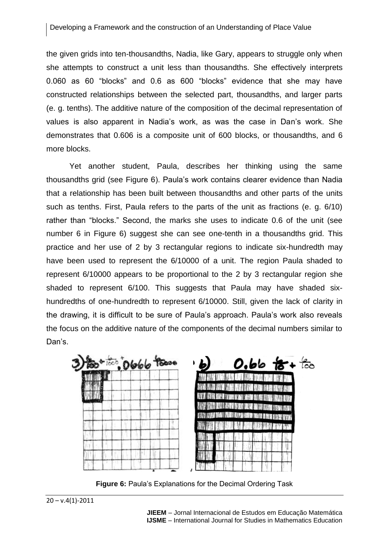the given grids into ten-thousandths, Nadia, like Gary, appears to struggle only when she attempts to construct a unit less than thousandths. She effectively interprets 0.060 as 60 "blocks" and 0.6 as 600 "blocks" evidence that she may have constructed relationships between the selected part, thousandths, and larger parts (e. g. tenths). The additive nature of the composition of the decimal representation of values is also apparent in Nadia's work, as was the case in Dan's work. She demonstrates that 0.606 is a composite unit of 600 blocks, or thousandths, and 6 more blocks.

Yet another student, Paula, describes her thinking using the same thousandths grid (see Figure 6). Paula's work contains clearer evidence than Nadia that a relationship has been built between thousandths and other parts of the units such as tenths. First, Paula refers to the parts of the unit as fractions (e. g. 6/10) rather than "blocks." Second, the marks she uses to indicate 0.6 of the unit (see number 6 in Figure 6) suggest she can see one-tenth in a thousandths grid. This practice and her use of 2 by 3 rectangular regions to indicate six-hundredth may have been used to represent the 6/10000 of a unit. The region Paula shaded to represent 6/10000 appears to be proportional to the 2 by 3 rectangular region she shaded to represent 6/100. This suggests that Paula may have shaded sixhundredths of one-hundredth to represent 6/10000. Still, given the lack of clarity in the drawing, it is difficult to be sure of Paula's approach. Paula's work also reveals the focus on the additive nature of the components of the decimal numbers similar to Dan's.

**Figure 6:** Paula's Explanations for the Decimal Ordering Task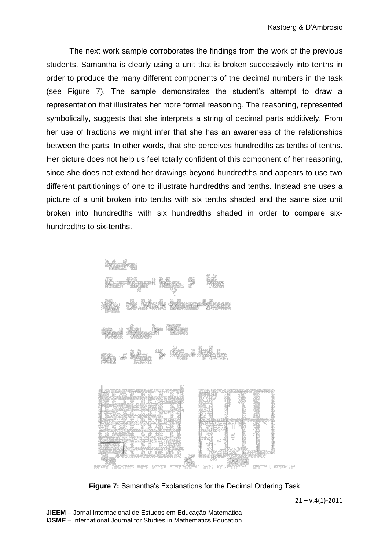The next work sample corroborates the findings from the work of the previous students. Samantha is clearly using a unit that is broken successively into tenths in order to produce the many different components of the decimal numbers in the task (see Figure 7). The sample demonstrates the student's attempt to draw a representation that illustrates her more formal reasoning. The reasoning, represented symbolically, suggests that she interprets a string of decimal parts additively. From her use of fractions we might infer that she has an awareness of the relationships between the parts. In other words, that she perceives hundredths as tenths of tenths. Her picture does not help us feel totally confident of this component of her reasoning, since she does not extend her drawings beyond hundredths and appears to use two different partitionings of one to illustrate hundredths and tenths. Instead she uses a picture of a unit broken into tenths with six tenths shaded and the same size unit broken into hundredths with six hundredths shaded in order to compare sixhundredths to six-tenths.

$$
\frac{6}{100} > 0
$$
\n
$$
\frac{6}{100} + \frac{6}{1000} + \frac{6}{10000} > \frac{6}{100}
$$
\n
$$
\frac{6}{10} > \frac{6}{100} + \frac{6}{10000} + \frac{6}{10000} + \frac{6}{10000}
$$
\n
$$
\frac{6}{10} + \frac{6}{1000} > \frac{6}{10} + \frac{6}{1000}
$$



**Figure 7:** Samantha's Explanations for the Decimal Ordering Task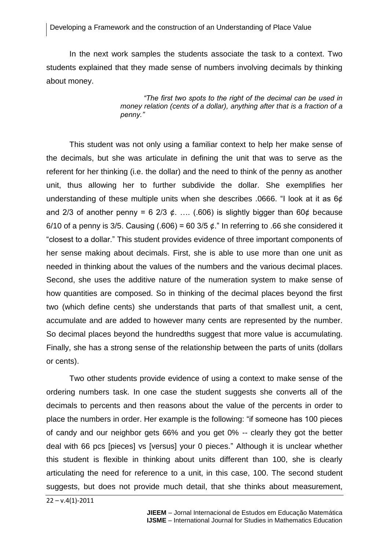#### Developing a Framework and the construction of an Understanding of Place Value

In the next work samples the students associate the task to a context. Two students explained that they made sense of numbers involving decimals by thinking about money.

> *"The first two spots to the right of the decimal can be used in money relation (cents of a dollar), anything after that is a fraction of a penny."*

This student was not only using a familiar context to help her make sense of the decimals, but she was articulate in defining the unit that was to serve as the referent for her thinking (i.e. the dollar) and the need to think of the penny as another unit, thus allowing her to further subdivide the dollar. She exemplifies her understanding of these multiple units when she describes .0666. "I look at it as 6¢ and 2/3 of another penny = 6 2/3  $\phi$ . .... (.606) is slightly bigger than 60 $\phi$  because 6/10 of a penny is 3/5. Causing (.606) = 60 3/5  $\phi$ ." In referring to .66 she considered it "closest to a dollar." This student provides evidence of three important components of her sense making about decimals. First, she is able to use more than one unit as needed in thinking about the values of the numbers and the various decimal places. Second, she uses the additive nature of the numeration system to make sense of how quantities are composed. So in thinking of the decimal places beyond the first two (which define cents) she understands that parts of that smallest unit, a cent, accumulate and are added to however many cents are represented by the number. So decimal places beyond the hundredths suggest that more value is accumulating. Finally, she has a strong sense of the relationship between the parts of units (dollars or cents).

Two other students provide evidence of using a context to make sense of the ordering numbers task. In one case the student suggests she converts all of the decimals to percents and then reasons about the value of the percents in order to place the numbers in order. Her example is the following: "if someone has 100 pieces of candy and our neighbor gets 66% and you get 0% -- clearly they got the better deal with 66 pcs [pieces] vs [versus] your 0 pieces." Although it is unclear whether this student is flexible in thinking about units different than 100, she is clearly articulating the need for reference to a unit, in this case, 100. The second student suggests, but does not provide much detail, that she thinks about measurement,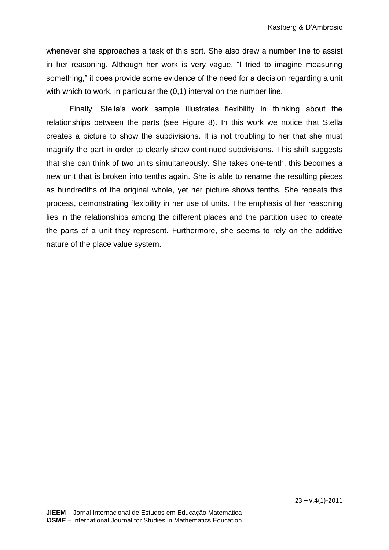whenever she approaches a task of this sort. She also drew a number line to assist in her reasoning. Although her work is very vague, "I tried to imagine measuring something," it does provide some evidence of the need for a decision regarding a unit with which to work, in particular the  $(0,1)$  interval on the number line.

Finally, Stella's work sample illustrates flexibility in thinking about the relationships between the parts (see Figure 8). In this work we notice that Stella creates a picture to show the subdivisions. It is not troubling to her that she must magnify the part in order to clearly show continued subdivisions. This shift suggests that she can think of two units simultaneously. She takes one-tenth, this becomes a new unit that is broken into tenths again. She is able to rename the resulting pieces as hundredths of the original whole, yet her picture shows tenths. She repeats this process, demonstrating flexibility in her use of units. The emphasis of her reasoning lies in the relationships among the different places and the partition used to create the parts of a unit they represent. Furthermore, she seems to rely on the additive nature of the place value system.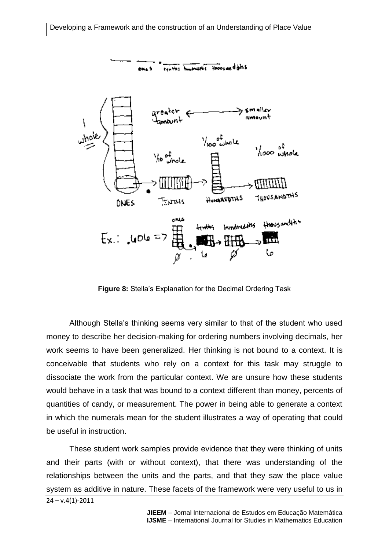

**Figure 8:** Stella's Explanation for the Decimal Ordering Task

Although Stella's thinking seems very similar to that of the student who used money to describe her decision-making for ordering numbers involving decimals, her work seems to have been generalized. Her thinking is not bound to a context. It is conceivable that students who rely on a context for this task may struggle to dissociate the work from the particular context. We are unsure how these students would behave in a task that was bound to a context different than money, percents of quantities of candy, or measurement. The power in being able to generate a context in which the numerals mean for the student illustrates a way of operating that could be useful in instruction.

 $24 - v.4(1) - 2011$ These student work samples provide evidence that they were thinking of units and their parts (with or without context), that there was understanding of the relationships between the units and the parts, and that they saw the place value system as additive in nature. These facets of the framework were very useful to us in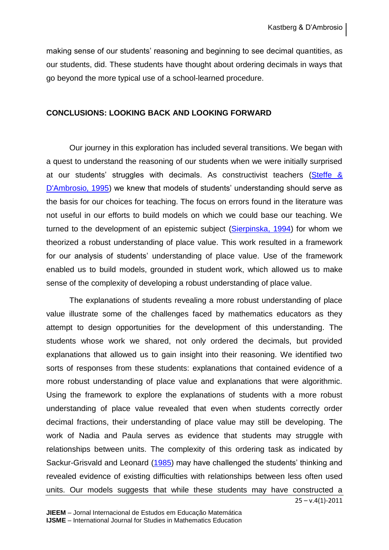making sense of our students' reasoning and beginning to see decimal quantities, as our students, did. These students have thought about ordering decimals in ways that go beyond the more typical use of a school-learned procedure.

## **CONCLUSIONS: LOOKING BACK AND LOOKING FORWARD**

Our journey in this exploration has included several transitions. We began with a quest to understand the reasoning of our students when we were initially surprised at our students' struggles with decimals. As constructivist teachers [\(Steffe &](#page-28-13)  [D'Ambrosio, 1995\)](#page-28-13) we knew that models of students' understanding should serve as the basis for our choices for teaching. The focus on errors found in the literature was not useful in our efforts to build models on which we could base our teaching. We turned to the development of an epistemic subject [\(Sierpinska, 1994\)](#page-28-17) for whom we theorized a robust understanding of place value. This work resulted in a framework for our analysis of students' understanding of place value. Use of the framework enabled us to build models, grounded in student work, which allowed us to make sense of the complexity of developing a robust understanding of place value.

The explanations of students revealing a more robust understanding of place value illustrate some of the challenges faced by mathematics educators as they attempt to design opportunities for the development of this understanding. The students whose work we shared, not only ordered the decimals, but provided explanations that allowed us to gain insight into their reasoning. We identified two sorts of responses from these students: explanations that contained evidence of a more robust understanding of place value and explanations that were algorithmic. Using the framework to explore the explanations of students with a more robust understanding of place value revealed that even when students correctly order decimal fractions, their understanding of place value may still be developing. The work of Nadia and Paula serves as evidence that students may struggle with relationships between units. The complexity of this ordering task as indicated by Sackur-Grisvald and Leonard [\(1985\)](#page-28-9) may have challenged the students' thinking and revealed evidence of existing difficulties with relationships between less often used units. Our models suggests that while these students may have constructed a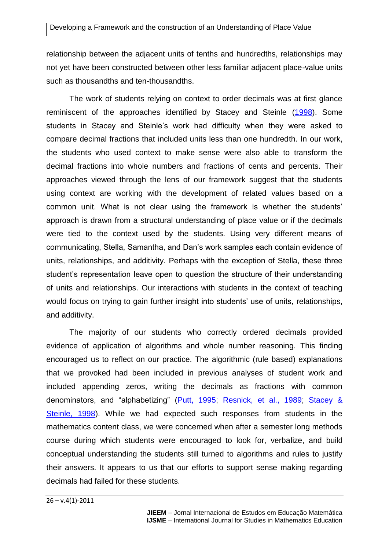relationship between the adjacent units of tenths and hundredths, relationships may not yet have been constructed between other less familiar adjacent place-value units such as thousandths and ten-thousandths.

The work of students relying on context to order decimals was at first glance reminiscent of the approaches identified by Stacey and Steinle [\(1998\)](#page-28-18). Some students in Stacey and Steinle's work had difficulty when they were asked to compare decimal fractions that included units less than one hundredth. In our work, the students who used context to make sense were also able to transform the decimal fractions into whole numbers and fractions of cents and percents. Their approaches viewed through the lens of our framework suggest that the students using context are working with the development of related values based on a common unit. What is not clear using the framework is whether the students' approach is drawn from a structural understanding of place value or if the decimals were tied to the context used by the students. Using very different means of communicating, Stella, Samantha, and Dan's work samples each contain evidence of units, relationships, and additivity. Perhaps with the exception of Stella, these three student's representation leave open to question the structure of their understanding of units and relationships. Our interactions with students in the context of teaching would focus on trying to gain further insight into students' use of units, relationships, and additivity.

The majority of our students who correctly ordered decimals provided evidence of application of algorithms and whole number reasoning. This finding encouraged us to reflect on our practice. The algorithmic (rule based) explanations that we provoked had been included in previous analyses of student work and included appending zeros, writing the decimals as fractions with common denominators, and "alphabetizing" [\(Putt, 1995;](#page-28-2) [Resnick, et al., 1989;](#page-28-8) [Stacey &](#page-28-18)  [Steinle, 1998\)](#page-28-18). While we had expected such responses from students in the mathematics content class, we were concerned when after a semester long methods course during which students were encouraged to look for, verbalize, and build conceptual understanding the students still turned to algorithms and rules to justify their answers. It appears to us that our efforts to support sense making regarding decimals had failed for these students.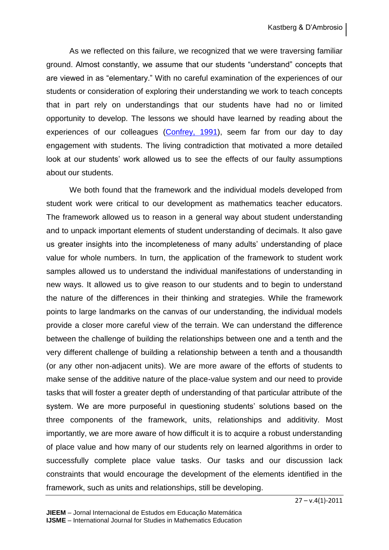As we reflected on this failure, we recognized that we were traversing familiar ground. Almost constantly, we assume that our students "understand" concepts that are viewed in as "elementary." With no careful examination of the experiences of our students or consideration of exploring their understanding we work to teach concepts that in part rely on understandings that our students have had no or limited opportunity to develop. The lessons we should have learned by reading about the experiences of our colleagues [\(Confrey, 1991\)](#page-27-6), seem far from our day to day engagement with students. The living contradiction that motivated a more detailed look at our students' work allowed us to see the effects of our faulty assumptions about our students.

We both found that the framework and the individual models developed from student work were critical to our development as mathematics teacher educators. The framework allowed us to reason in a general way about student understanding and to unpack important elements of student understanding of decimals. It also gave us greater insights into the incompleteness of many adults' understanding of place value for whole numbers. In turn, the application of the framework to student work samples allowed us to understand the individual manifestations of understanding in new ways. It allowed us to give reason to our students and to begin to understand the nature of the differences in their thinking and strategies. While the framework points to large landmarks on the canvas of our understanding, the individual models provide a closer more careful view of the terrain. We can understand the difference between the challenge of building the relationships between one and a tenth and the very different challenge of building a relationship between a tenth and a thousandth (or any other non-adjacent units). We are more aware of the efforts of students to make sense of the additive nature of the place-value system and our need to provide tasks that will foster a greater depth of understanding of that particular attribute of the system. We are more purposeful in questioning students' solutions based on the three components of the framework, units, relationships and additivity. Most importantly, we are more aware of how difficult it is to acquire a robust understanding of place value and how many of our students rely on learned algorithms in order to successfully complete place value tasks. Our tasks and our discussion lack constraints that would encourage the development of the elements identified in the framework, such as units and relationships, still be developing.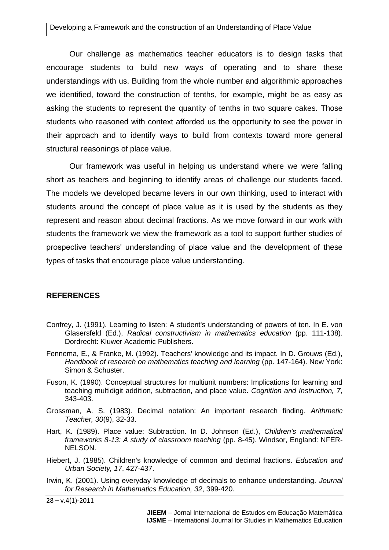Our challenge as mathematics teacher educators is to design tasks that encourage students to build new ways of operating and to share these understandings with us. Building from the whole number and algorithmic approaches we identified, toward the construction of tenths, for example, might be as easy as asking the students to represent the quantity of tenths in two square cakes. Those students who reasoned with context afforded us the opportunity to see the power in their approach and to identify ways to build from contexts toward more general structural reasonings of place value.

Our framework was useful in helping us understand where we were falling short as teachers and beginning to identify areas of challenge our students faced. The models we developed became levers in our own thinking, used to interact with students around the concept of place value as it is used by the students as they represent and reason about decimal fractions. As we move forward in our work with students the framework we view the framework as a tool to support further studies of prospective teachers' understanding of place value and the development of these types of tasks that encourage place value understanding.

#### **REFERENCES**

- <span id="page-27-6"></span>Confrey, J. (1991). Learning to listen: A student's understanding of powers of ten. In E. von Glasersfeld (Ed.), *Radical constructivism in mathematics education* (pp. 111-138). Dordrecht: Kluwer Academic Publishers.
- <span id="page-27-0"></span>Fennema, E., & Franke, M. (1992). Teachers' knowledge and its impact. In D. Grouws (Ed.), *Handbook of research on mathematics teaching and learning* (pp. 147-164). New York: Simon & Schuster.
- <span id="page-27-4"></span>Fuson, K. (1990). Conceptual structures for multiunit numbers: Implications for learning and teaching multidigit addition, subtraction, and place value. *Cognition and Instruction, 7*, 343-403.
- <span id="page-27-1"></span>Grossman, A. S. (1983). Decimal notation: An important research finding. *Arithmetic Teacher, 30*(9), 32-33.
- <span id="page-27-5"></span>Hart, K. (1989). Place value: Subtraction. In D. Johnson (Ed.), *Children's mathematical frameworks 8-13: A study of classroom teaching* (pp. 8-45). Windsor, England: NFER-NELSON.
- <span id="page-27-2"></span>Hiebert, J. (1985). Children's knowledge of common and decimal fractions. *Education and Urban Society, 17*, 427-437.
- <span id="page-27-3"></span>Irwin, K. (2001). Using everyday knowledge of decimals to enhance understanding. *Journal for Research in Mathematics Education, 32*, 399-420.

 $28 - v.4(1) - 2011$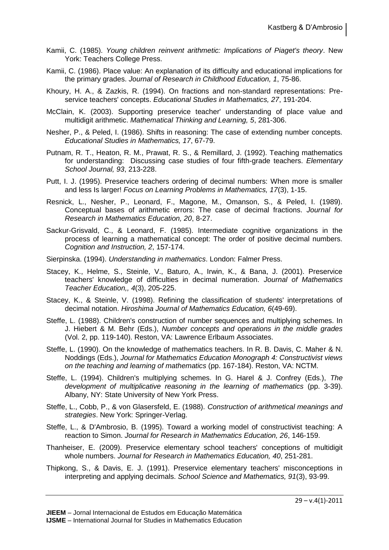- <span id="page-28-0"></span>Kamii, C. (1985). *Young children reinvent arithmetic: Implications of Piaget's theory*. New York: Teachers College Press.
- <span id="page-28-16"></span>Kamii, C. (1986). Place value: An explanation of its difficulty and educational implications for the primary grades. *Journal of Research in Childhood Education, 1*, 75-86.
- <span id="page-28-11"></span>Khoury, H. A., & Zazkis, R. (1994). On fractions and non-standard representations: Preservice teachers' concepts. *Educational Studies in Mathematics, 27*, 191-204.
- <span id="page-28-4"></span>McClain, K. (2003). Supporting preservice teacher' understanding of place value and multidigit arithmetic. *Mathematical Thinking and Learning, 5*, 281-306.
- <span id="page-28-12"></span>Nesher, P., & Peled, I. (1986). Shifts in reasoning: The case of extending number concepts. *Educational Studies in Mathematics, 17*, 67-79.
- <span id="page-28-7"></span>Putnam, R. T., Heaton, R. M., Prawat, R. S., & Remillard, J. (1992). Teaching mathematics for understanding: Discussing case studies of four fifth-grade teachers. *Elementary School Journal, 93*, 213-228.
- <span id="page-28-2"></span>Putt, I. J. (1995). Preservice teachers ordering of decimal numbers: When more is smaller and less Is larger! *Focus on Learning Problems in Mathematics, 17*(3), 1-15.
- <span id="page-28-8"></span>Resnick, L., Nesher, P., Leonard, F., Magone, M., Omanson, S., & Peled, I. (1989). Conceptual bases of arithmetic errors: The case of decimal fractions. *Journal for Research in Mathematics Education, 20*, 8-27.
- <span id="page-28-9"></span>Sackur-Grisvald, C., & Leonard, F. (1985). Intermediate cognitive organizations in the process of learning a mathematical concept: The order of positive decimal numbers. *Cognition and Instruction, 2*, 157-174.
- <span id="page-28-17"></span>Sierpinska. (1994). *Understanding in mathematics*. London: Falmer Press.
- <span id="page-28-10"></span>Stacey, K., Helme, S., Steinle, V., Baturo, A., Irwin, K., & Bana, J. (2001). Preservice teachers' knowledge of difficulties in decimal numeration. *Journal of Mathematics Teacher Education,, 4*(3), 205-225.
- <span id="page-28-18"></span>Stacey, K., & Steinle, V. (1998). Refining the classification of students' interpretations of decimal notation. *Hiroshima Journal of Mathematics Education, 6*(49-69).
- <span id="page-28-15"></span>Steffe, L. (1988). Children's construction of number sequences and multiplying schemes. In J. Hiebert & M. Behr (Eds.), *Number concepts and operations in the middle grades* (Vol. 2, pp. 119-140). Reston, VA: Lawrence Erlbaum Associates.
- <span id="page-28-6"></span>Steffe, L. (1990). On the knowledge of mathematics teachers. In R. B. Davis, C. Maher & N. Noddings (Eds.), *Journal for Mathematics Education Monograph 4: Constructivist views on the teaching and learning of mathematics* (pp. 167-184). Reston, VA: NCTM.
- <span id="page-28-14"></span>Steffe, L. (1994). Children's multiplying schemes. In G. Harel & J. Confrey (Eds.), *The development of multiplicative reasoning in the learning of mathematics* (pp. 3-39). Albany, NY: State University of New York Press.
- <span id="page-28-1"></span>Steffe, L., Cobb, P., & von Glasersfeld, E. (1988). *Construction of arithmetical meanings and strategies*. New York: Springer-Verlag.
- <span id="page-28-13"></span>Steffe, L., & D'Ambrosio, B. (1995). Toward a working model of constructivist teaching: A reaction to Simon. *Journal for Research in Mathematics Education, 26*, 146-159.
- <span id="page-28-5"></span>Thanheiser, E. (2009). Preservice elementary school teachers' conceptions of multidigit whole numbers. *Journal for Research in Mathematics Education, 40*, 251-281.
- <span id="page-28-3"></span>Thipkong, S., & Davis, E. J. (1991). Preservice elementary teachers' misconceptions in interpreting and applying decimals. *School Science and Mathematics, 91*(3), 93-99.